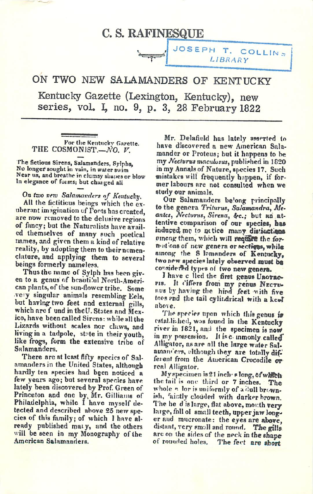## C. S. RAFINESQUE

ON TWO NEW SALAMANDERS OF KENTUCKY

*^r*

Kentucky Gazette (Lexington, Kentucky), new series, voL I, no. 9, p. 3, 28 February 1822

For the Kentucky Gazette. *THE COSMON15T.—WO. V.*

*The fictions Sirens, Salamanders, Sylphs,*  $N$ <sup>o</sup> *longer* sought in vain, in water swim *Near us, and breathe in clumsy shapesor blow In elegance of forms; but changed all*

*On (too vrtv Salamavders of Kcntuchy,*

*All the fictitious beings which the ex uberant imagination of Torts has created, are now removed to the delusiveregions of fancy; but the Naturalists have avail ed themselves of many such poetical names, and given them a kind of relative reality, by adopting them to theirnomenclature, and applying them to several beings formerly nameless.*

*Thus the name of Sylph has been giv en to a genus of bcauti.'ul North-Ameri can plants, of the sun-flower tribe. Some veiy singular animals resembling Eels, but having two feet and external gills, which nre f und in theU. States and Mex ico, have been called Sirens: while all the Lizards without scales nor claws, and living in a tadpole, stnte in their youth, like frogs, form the extensive tribe of Salamanders.*

*There are at least fifty species of Sal amandersin the United States, although hardly ten species had b§cn noticed a few years ago; but several species have lately been discovered by Prof. Green of Princeton and One by. Mr. Gilliams of Philadelphia, while I have myself de tected and described above 25 newspe cies of this family; of which 1have al ready published maty, and the others will be seen in my Monography of the American Salamanders.*

*Mr. Delafield has lately asserted to have discovered a new American Sala mander or Proteus; but it happens to he my Nctfvrutmnciilusus, published in 1020 inmy Annals of Nature, species 17. Such mistakeswill frequently happen, if for mer labours are not consulted when we study our animals.*

**J** JOSEPH T. COLLIN **LIBRARY**

*Our Salamanders be'ong principally to the genera Triturus, Salamandra, Meantes, JYeclvrusy Sirena, Sfc; but an at tentive comparison of our species, bt»* induced me to netice many distinctions *<i><u>i</u>mcng them, which will require the forn*<sup>i</sup>chs of new genera or sections, while *among the 8 Inmnnders of Kentucky, two new species* lately observed must be *co'isidert»d typrs ot two newgenera.*

*J have c lied the first genus Uro\*ro» pis. It offers from my penu» Nectu- nus by having the hind feet with five tors ?nd the tail cylindrical with a ke»T above.*

*The sprrieF upon which this gehue it established, was iound in the Kentucky river in 1821, and the specimen is now in my possession. It isc inmonly called Alligator, an are nil the large water Sal amanders, elthough they are totallydif ferent from the American Crocodile oir real Alligator.*

*Myspecimenis21 inch- \*long, Ofwhfcli the tail is one third or 7 inches. The whole "• lor is uniformly of a dull brown ish, 'air.tly clouded with darker brown. The he dis large, flat above, mor.th very large, fnll ol small teeth, upperjawlong er and mucronate: the eyes are above, distant, very small and round. TJie gills arc on the sides of the neck inthe shape The fect* are short